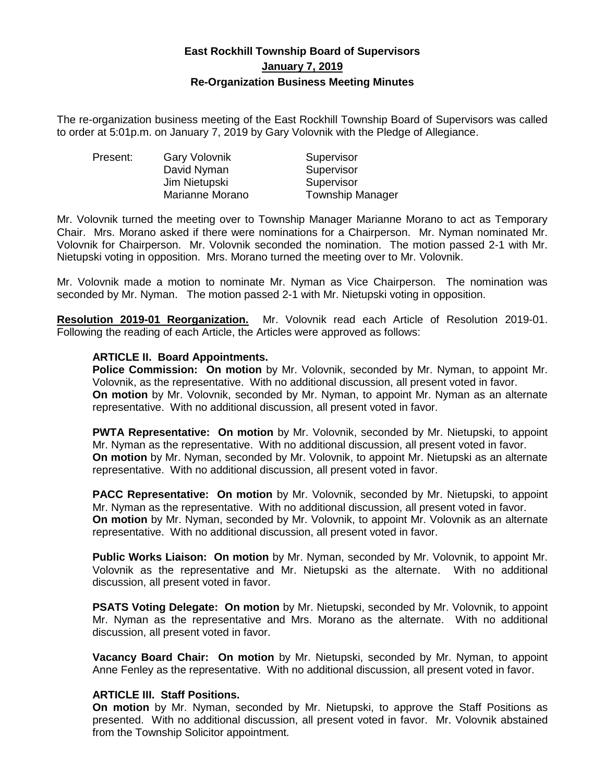# **East Rockhill Township Board of Supervisors January 7, 2019 Re-Organization Business Meeting Minutes**

The re-organization business meeting of the East Rockhill Township Board of Supervisors was called to order at 5:01p.m. on January 7, 2019 by Gary Volovnik with the Pledge of Allegiance.

| Present: | Gary Volovnik   | Supervisor              |
|----------|-----------------|-------------------------|
|          | David Nyman     | Supervisor              |
|          | Jim Nietupski   | Supervisor              |
|          | Marianne Morano | <b>Township Manager</b> |

Mr. Volovnik turned the meeting over to Township Manager Marianne Morano to act as Temporary Chair. Mrs. Morano asked if there were nominations for a Chairperson. Mr. Nyman nominated Mr. Volovnik for Chairperson. Mr. Volovnik seconded the nomination. The motion passed 2-1 with Mr. Nietupski voting in opposition. Mrs. Morano turned the meeting over to Mr. Volovnik.

Mr. Volovnik made a motion to nominate Mr. Nyman as Vice Chairperson. The nomination was seconded by Mr. Nyman. The motion passed 2-1 with Mr. Nietupski voting in opposition.

**Resolution 2019-01 Reorganization.** Mr. Volovnik read each Article of Resolution 2019-01. Following the reading of each Article, the Articles were approved as follows:

## **ARTICLE II. Board Appointments.**

**Police Commission: On motion** by Mr. Volovnik, seconded by Mr. Nyman, to appoint Mr. Volovnik, as the representative. With no additional discussion, all present voted in favor. **On motion** by Mr. Volovnik, seconded by Mr. Nyman, to appoint Mr. Nyman as an alternate representative. With no additional discussion, all present voted in favor.

**PWTA Representative: On motion** by Mr. Volovnik, seconded by Mr. Nietupski, to appoint Mr. Nyman as the representative. With no additional discussion, all present voted in favor. **On motion** by Mr. Nyman, seconded by Mr. Volovnik, to appoint Mr. Nietupski as an alternate representative. With no additional discussion, all present voted in favor.

**PACC Representative: On motion** by Mr. Volovnik, seconded by Mr. Nietupski, to appoint Mr. Nyman as the representative. With no additional discussion, all present voted in favor. **On motion** by Mr. Nyman, seconded by Mr. Volovnik, to appoint Mr. Volovnik as an alternate representative. With no additional discussion, all present voted in favor.

**Public Works Liaison: On motion** by Mr. Nyman, seconded by Mr. Volovnik, to appoint Mr. Volovnik as the representative and Mr. Nietupski as the alternate. With no additional discussion, all present voted in favor.

**PSATS Voting Delegate: On motion** by Mr. Nietupski, seconded by Mr. Volovnik, to appoint Mr. Nyman as the representative and Mrs. Morano as the alternate. With no additional discussion, all present voted in favor.

**Vacancy Board Chair: On motion** by Mr. Nietupski, seconded by Mr. Nyman, to appoint Anne Fenley as the representative. With no additional discussion, all present voted in favor.

# **ARTICLE III. Staff Positions.**

**On motion** by Mr. Nyman, seconded by Mr. Nietupski, to approve the Staff Positions as presented. With no additional discussion, all present voted in favor. Mr. Volovnik abstained from the Township Solicitor appointment.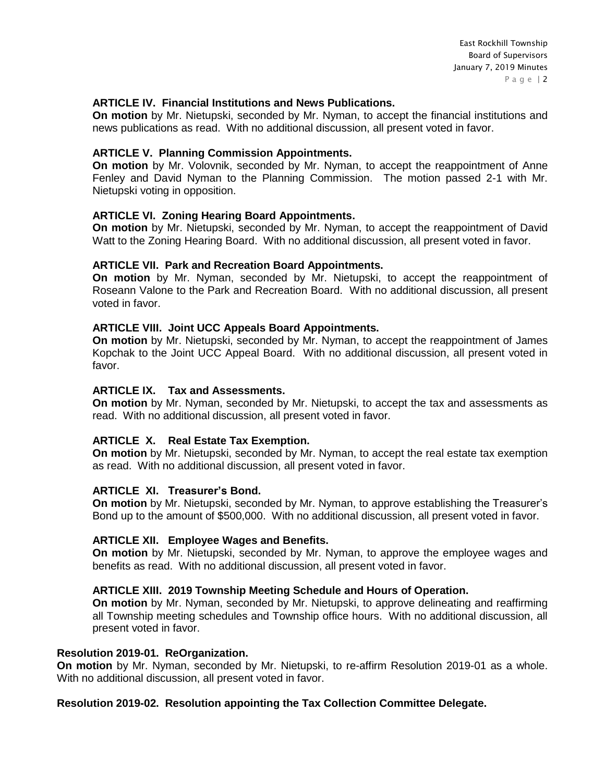## **ARTICLE IV. Financial Institutions and News Publications.**

**On motion** by Mr. Nietupski, seconded by Mr. Nyman, to accept the financial institutions and news publications as read. With no additional discussion, all present voted in favor.

## **ARTICLE V. Planning Commission Appointments.**

**On motion** by Mr. Volovnik, seconded by Mr. Nyman, to accept the reappointment of Anne Fenley and David Nyman to the Planning Commission. The motion passed 2-1 with Mr. Nietupski voting in opposition.

## **ARTICLE VI. Zoning Hearing Board Appointments.**

**On motion** by Mr. Nietupski, seconded by Mr. Nyman, to accept the reappointment of David Watt to the Zoning Hearing Board. With no additional discussion, all present voted in favor.

## **ARTICLE VII. Park and Recreation Board Appointments.**

**On motion** by Mr. Nyman, seconded by Mr. Nietupski, to accept the reappointment of Roseann Valone to the Park and Recreation Board. With no additional discussion, all present voted in favor.

## **ARTICLE VIII. Joint UCC Appeals Board Appointments.**

**On motion** by Mr. Nietupski, seconded by Mr. Nyman, to accept the reappointment of James Kopchak to the Joint UCC Appeal Board. With no additional discussion, all present voted in favor.

## **ARTICLE IX. Tax and Assessments.**

**On motion** by Mr. Nyman, seconded by Mr. Nietupski, to accept the tax and assessments as read. With no additional discussion, all present voted in favor.

## **ARTICLE X. Real Estate Tax Exemption.**

**On motion** by Mr. Nietupski, seconded by Mr. Nyman, to accept the real estate tax exemption as read. With no additional discussion, all present voted in favor.

## **ARTICLE XI. Treasurer's Bond.**

**On motion** by Mr. Nietupski, seconded by Mr. Nyman, to approve establishing the Treasurer's Bond up to the amount of \$500,000. With no additional discussion, all present voted in favor.

## **ARTICLE XII. Employee Wages and Benefits.**

**On motion** by Mr. Nietupski, seconded by Mr. Nyman, to approve the employee wages and benefits as read. With no additional discussion, all present voted in favor.

## **ARTICLE XIII. 2019 Township Meeting Schedule and Hours of Operation.**

**On motion** by Mr. Nyman, seconded by Mr. Nietupski, to approve delineating and reaffirming all Township meeting schedules and Township office hours. With no additional discussion, all present voted in favor.

## **Resolution 2019-01. ReOrganization.**

**On motion** by Mr. Nyman, seconded by Mr. Nietupski, to re-affirm Resolution 2019-01 as a whole. With no additional discussion, all present voted in favor.

## **Resolution 2019-02. Resolution appointing the Tax Collection Committee Delegate.**